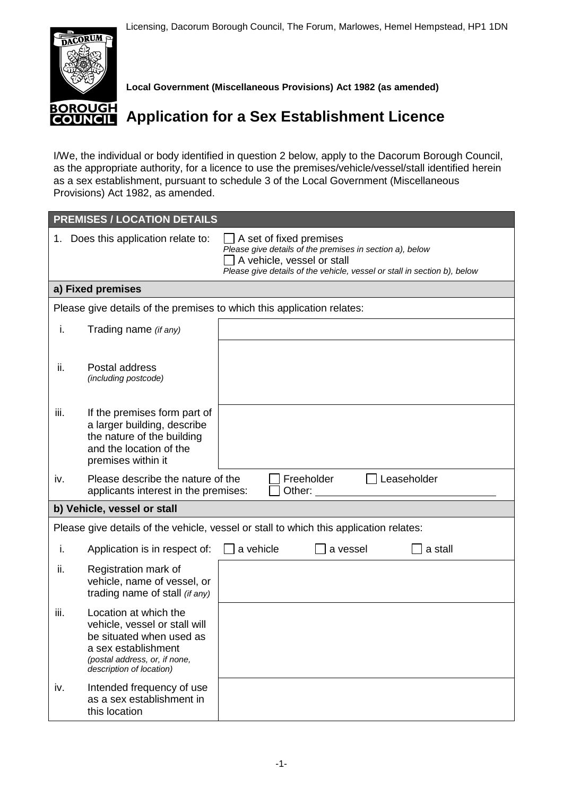

**Local Government (Miscellaneous Provisions) Act 1982 (as amended)**

# **Application for a Sex Establishment Licence**

I/We, the individual or body identified in question 2 below, apply to the Dacorum Borough Council, as the appropriate authority, for a licence to use the premises/vehicle/vessel/stall identified herein as a sex establishment, pursuant to schedule 3 of the Local Government (Miscellaneous Provisions) Act 1982, as amended.

|                             | <b>PREMISES / LOCATION DETAILS</b>                                                                                                                                     |                                                                                                                                                                                                      |  |  |  |  |
|-----------------------------|------------------------------------------------------------------------------------------------------------------------------------------------------------------------|------------------------------------------------------------------------------------------------------------------------------------------------------------------------------------------------------|--|--|--|--|
| 1.                          | Does this application relate to:                                                                                                                                       | $\Box$ A set of fixed premises<br>Please give details of the premises in section a), below<br>A vehicle, vessel or stall<br>Please give details of the vehicle, vessel or stall in section b), below |  |  |  |  |
|                             | a) Fixed premises                                                                                                                                                      |                                                                                                                                                                                                      |  |  |  |  |
|                             |                                                                                                                                                                        | Please give details of the premises to which this application relates:                                                                                                                               |  |  |  |  |
| i.                          | Trading name (if any)                                                                                                                                                  |                                                                                                                                                                                                      |  |  |  |  |
| ii.                         | Postal address<br>(including postcode)                                                                                                                                 |                                                                                                                                                                                                      |  |  |  |  |
| iii.                        | If the premises form part of<br>a larger building, describe<br>the nature of the building<br>and the location of the<br>premises within it                             |                                                                                                                                                                                                      |  |  |  |  |
| iv.                         | Please describe the nature of the<br>applicants interest in the premises:                                                                                              | Freeholder<br>Leaseholder<br>Other:                                                                                                                                                                  |  |  |  |  |
| b) Vehicle, vessel or stall |                                                                                                                                                                        |                                                                                                                                                                                                      |  |  |  |  |
|                             |                                                                                                                                                                        | Please give details of the vehicle, vessel or stall to which this application relates:                                                                                                               |  |  |  |  |
| i.                          | Application is in respect of:                                                                                                                                          | a vehicle<br>a vessel<br>a stall                                                                                                                                                                     |  |  |  |  |
| ii.                         | Registration mark of<br>vehicle, name of vessel, or<br>trading name of stall (if any)                                                                                  |                                                                                                                                                                                                      |  |  |  |  |
| iii.                        | Location at which the<br>vehicle, vessel or stall will<br>be situated when used as<br>a sex establishment<br>(postal address, or, if none,<br>description of location) |                                                                                                                                                                                                      |  |  |  |  |
| iv.                         | Intended frequency of use<br>as a sex establishment in<br>this location                                                                                                |                                                                                                                                                                                                      |  |  |  |  |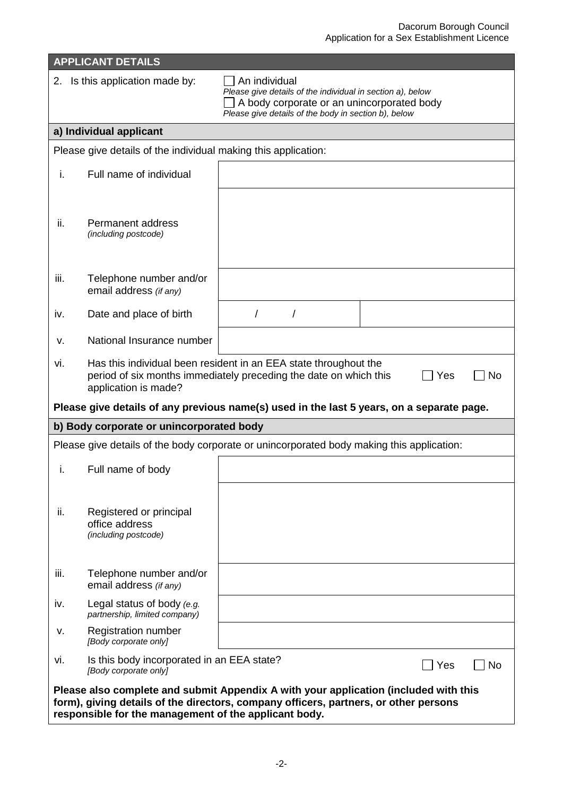|      | <b>APPLICANT DETAILS</b>                                                                                                                                                                                                              |                                                                                                                                                                                   |  |  |  |  |
|------|---------------------------------------------------------------------------------------------------------------------------------------------------------------------------------------------------------------------------------------|-----------------------------------------------------------------------------------------------------------------------------------------------------------------------------------|--|--|--|--|
|      | 2. Is this application made by:                                                                                                                                                                                                       | An individual<br>Please give details of the individual in section a), below<br>A body corporate or an unincorporated body<br>Please give details of the body in section b), below |  |  |  |  |
|      | a) Individual applicant                                                                                                                                                                                                               |                                                                                                                                                                                   |  |  |  |  |
|      | Please give details of the individual making this application:                                                                                                                                                                        |                                                                                                                                                                                   |  |  |  |  |
| i.   | Full name of individual                                                                                                                                                                                                               |                                                                                                                                                                                   |  |  |  |  |
| ii.  | <b>Permanent address</b><br>(including postcode)                                                                                                                                                                                      |                                                                                                                                                                                   |  |  |  |  |
| iii. | Telephone number and/or<br>email address (if any)                                                                                                                                                                                     |                                                                                                                                                                                   |  |  |  |  |
| iv.  | Date and place of birth                                                                                                                                                                                                               | $\prime$<br>$\prime$                                                                                                                                                              |  |  |  |  |
| v.   | National Insurance number                                                                                                                                                                                                             |                                                                                                                                                                                   |  |  |  |  |
| vi.  | application is made?                                                                                                                                                                                                                  | Has this individual been resident in an EEA state throughout the<br>period of six months immediately preceding the date on which this<br>No<br>Yes                                |  |  |  |  |
|      |                                                                                                                                                                                                                                       | Please give details of any previous name(s) used in the last 5 years, on a separate page.                                                                                         |  |  |  |  |
|      | b) Body corporate or unincorporated body                                                                                                                                                                                              |                                                                                                                                                                                   |  |  |  |  |
|      |                                                                                                                                                                                                                                       | Please give details of the body corporate or unincorporated body making this application:                                                                                         |  |  |  |  |
| i.   | Full name of body                                                                                                                                                                                                                     |                                                                                                                                                                                   |  |  |  |  |
|      |                                                                                                                                                                                                                                       |                                                                                                                                                                                   |  |  |  |  |
| ii.  | Registered or principal<br>office address<br>(including postcode)                                                                                                                                                                     |                                                                                                                                                                                   |  |  |  |  |
| iii. | Telephone number and/or<br>email address (if any)                                                                                                                                                                                     |                                                                                                                                                                                   |  |  |  |  |
| iv.  | Legal status of body $(e.g.$<br>partnership, limited company)                                                                                                                                                                         |                                                                                                                                                                                   |  |  |  |  |
| v.   | <b>Registration number</b><br>[Body corporate only]                                                                                                                                                                                   |                                                                                                                                                                                   |  |  |  |  |
| vi.  | Is this body incorporated in an EEA state?<br>[Body corporate only]                                                                                                                                                                   | <b>No</b><br>Yes                                                                                                                                                                  |  |  |  |  |
|      | Please also complete and submit Appendix A with your application (included with this<br>form), giving details of the directors, company officers, partners, or other persons<br>responsible for the management of the applicant body. |                                                                                                                                                                                   |  |  |  |  |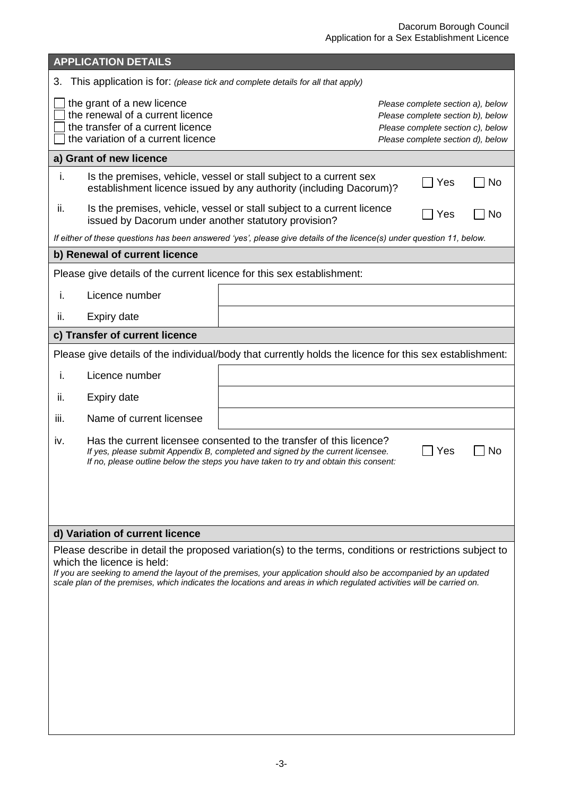|                                                                                                                                                                                                                                                                                                                                                                                     | <b>APPLICATION DETAILS</b>                                                                                                                |                                                                                                                                                                                                                                                |  |                                                                                                                                                  |    |
|-------------------------------------------------------------------------------------------------------------------------------------------------------------------------------------------------------------------------------------------------------------------------------------------------------------------------------------------------------------------------------------|-------------------------------------------------------------------------------------------------------------------------------------------|------------------------------------------------------------------------------------------------------------------------------------------------------------------------------------------------------------------------------------------------|--|--------------------------------------------------------------------------------------------------------------------------------------------------|----|
| 3.                                                                                                                                                                                                                                                                                                                                                                                  |                                                                                                                                           | This application is for: (please tick and complete details for all that apply)                                                                                                                                                                 |  |                                                                                                                                                  |    |
|                                                                                                                                                                                                                                                                                                                                                                                     | the grant of a new licence<br>the renewal of a current licence<br>the transfer of a current licence<br>the variation of a current licence |                                                                                                                                                                                                                                                |  | Please complete section a), below<br>Please complete section b), below<br>Please complete section c), below<br>Please complete section d), below |    |
|                                                                                                                                                                                                                                                                                                                                                                                     | a) Grant of new licence                                                                                                                   |                                                                                                                                                                                                                                                |  |                                                                                                                                                  |    |
| j.                                                                                                                                                                                                                                                                                                                                                                                  |                                                                                                                                           | Is the premises, vehicle, vessel or stall subject to a current sex<br>establishment licence issued by any authority (including Dacorum)?                                                                                                       |  | Yes                                                                                                                                              | No |
| ii.                                                                                                                                                                                                                                                                                                                                                                                 | issued by Dacorum under another statutory provision?                                                                                      | Is the premises, vehicle, vessel or stall subject to a current licence                                                                                                                                                                         |  | Yes                                                                                                                                              | No |
|                                                                                                                                                                                                                                                                                                                                                                                     |                                                                                                                                           | If either of these questions has been answered 'yes', please give details of the licence(s) under question 11, below.                                                                                                                          |  |                                                                                                                                                  |    |
|                                                                                                                                                                                                                                                                                                                                                                                     | b) Renewal of current licence                                                                                                             |                                                                                                                                                                                                                                                |  |                                                                                                                                                  |    |
|                                                                                                                                                                                                                                                                                                                                                                                     |                                                                                                                                           | Please give details of the current licence for this sex establishment:                                                                                                                                                                         |  |                                                                                                                                                  |    |
| İ.                                                                                                                                                                                                                                                                                                                                                                                  | Licence number                                                                                                                            |                                                                                                                                                                                                                                                |  |                                                                                                                                                  |    |
| н.                                                                                                                                                                                                                                                                                                                                                                                  | Expiry date                                                                                                                               |                                                                                                                                                                                                                                                |  |                                                                                                                                                  |    |
|                                                                                                                                                                                                                                                                                                                                                                                     | c) Transfer of current licence                                                                                                            |                                                                                                                                                                                                                                                |  |                                                                                                                                                  |    |
|                                                                                                                                                                                                                                                                                                                                                                                     |                                                                                                                                           | Please give details of the individual/body that currently holds the licence for this sex establishment:                                                                                                                                        |  |                                                                                                                                                  |    |
| j.                                                                                                                                                                                                                                                                                                                                                                                  | Licence number                                                                                                                            |                                                                                                                                                                                                                                                |  |                                                                                                                                                  |    |
| н.                                                                                                                                                                                                                                                                                                                                                                                  | Expiry date                                                                                                                               |                                                                                                                                                                                                                                                |  |                                                                                                                                                  |    |
| iii.                                                                                                                                                                                                                                                                                                                                                                                | Name of current licensee                                                                                                                  |                                                                                                                                                                                                                                                |  |                                                                                                                                                  |    |
| IV.                                                                                                                                                                                                                                                                                                                                                                                 |                                                                                                                                           | Has the current licensee consented to the transfer of this licence?<br>If yes, please submit Appendix B, completed and signed by the current licensee.<br>If no, please outline below the steps you have taken to try and obtain this consent: |  | Yes                                                                                                                                              | No |
|                                                                                                                                                                                                                                                                                                                                                                                     |                                                                                                                                           |                                                                                                                                                                                                                                                |  |                                                                                                                                                  |    |
|                                                                                                                                                                                                                                                                                                                                                                                     |                                                                                                                                           |                                                                                                                                                                                                                                                |  |                                                                                                                                                  |    |
|                                                                                                                                                                                                                                                                                                                                                                                     | d) Variation of current licence                                                                                                           |                                                                                                                                                                                                                                                |  |                                                                                                                                                  |    |
| Please describe in detail the proposed variation(s) to the terms, conditions or restrictions subject to<br>which the licence is held:<br>If you are seeking to amend the layout of the premises, your application should also be accompanied by an updated<br>scale plan of the premises, which indicates the locations and areas in which regulated activities will be carried on. |                                                                                                                                           |                                                                                                                                                                                                                                                |  |                                                                                                                                                  |    |
|                                                                                                                                                                                                                                                                                                                                                                                     |                                                                                                                                           |                                                                                                                                                                                                                                                |  |                                                                                                                                                  |    |
|                                                                                                                                                                                                                                                                                                                                                                                     |                                                                                                                                           |                                                                                                                                                                                                                                                |  |                                                                                                                                                  |    |
|                                                                                                                                                                                                                                                                                                                                                                                     |                                                                                                                                           |                                                                                                                                                                                                                                                |  |                                                                                                                                                  |    |
|                                                                                                                                                                                                                                                                                                                                                                                     |                                                                                                                                           |                                                                                                                                                                                                                                                |  |                                                                                                                                                  |    |
|                                                                                                                                                                                                                                                                                                                                                                                     |                                                                                                                                           |                                                                                                                                                                                                                                                |  |                                                                                                                                                  |    |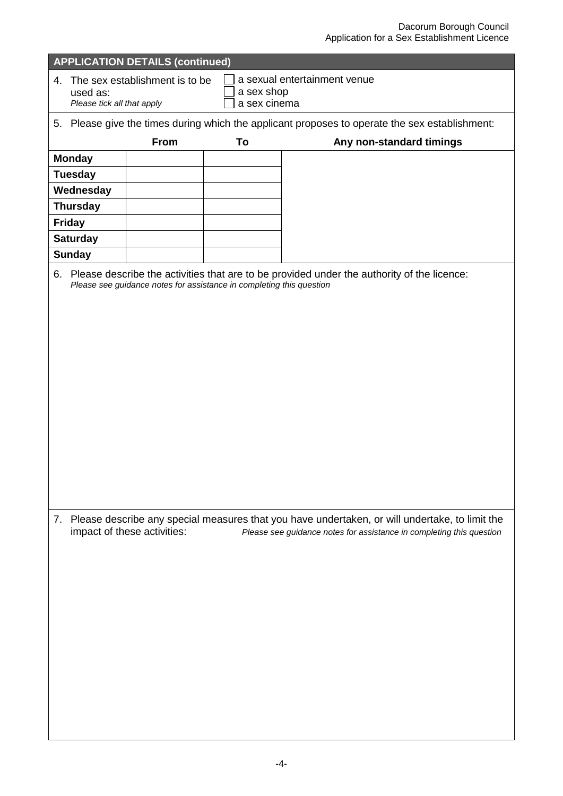| <b>APPLICATION DETAILS (continued)</b>                                                                                                                                                                |                                                                                                                               |    |                          |  |  |
|-------------------------------------------------------------------------------------------------------------------------------------------------------------------------------------------------------|-------------------------------------------------------------------------------------------------------------------------------|----|--------------------------|--|--|
| used as:                                                                                                                                                                                              | a sexual entertainment venue<br>4. The sex establishment is to be<br>a sex shop<br>a sex cinema<br>Please tick all that apply |    |                          |  |  |
|                                                                                                                                                                                                       | 5. Please give the times during which the applicant proposes to operate the sex establishment:                                |    |                          |  |  |
|                                                                                                                                                                                                       | From                                                                                                                          | To | Any non-standard timings |  |  |
| <b>Monday</b>                                                                                                                                                                                         |                                                                                                                               |    |                          |  |  |
| <b>Tuesday</b>                                                                                                                                                                                        |                                                                                                                               |    |                          |  |  |
| Wednesday                                                                                                                                                                                             |                                                                                                                               |    |                          |  |  |
| <b>Thursday</b>                                                                                                                                                                                       |                                                                                                                               |    |                          |  |  |
| <b>Friday</b>                                                                                                                                                                                         |                                                                                                                               |    |                          |  |  |
| <b>Saturday</b>                                                                                                                                                                                       |                                                                                                                               |    |                          |  |  |
| <b>Sunday</b>                                                                                                                                                                                         |                                                                                                                               |    |                          |  |  |
| 7.                                                                                                                                                                                                    |                                                                                                                               |    |                          |  |  |
| Please describe any special measures that you have undertaken, or will undertake, to limit the<br>impact of these activities:<br>Please see guidance notes for assistance in completing this question |                                                                                                                               |    |                          |  |  |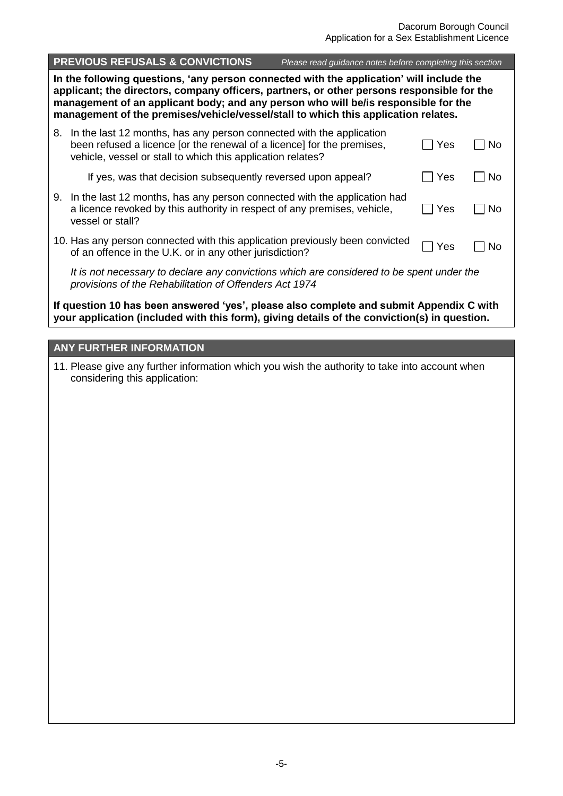|                                                                                                                                                                                                                                                                                                                                                                    | <b>PREVIOUS REFUSALS &amp; CONVICTIONS</b><br>Please read guidance notes before completing this section                                                                                                       |  |     |     |  |  |
|--------------------------------------------------------------------------------------------------------------------------------------------------------------------------------------------------------------------------------------------------------------------------------------------------------------------------------------------------------------------|---------------------------------------------------------------------------------------------------------------------------------------------------------------------------------------------------------------|--|-----|-----|--|--|
| In the following questions, 'any person connected with the application' will include the<br>applicant; the directors, company officers, partners, or other persons responsible for the<br>management of an applicant body; and any person who will be/is responsible for the<br>management of the premises/vehicle/vessel/stall to which this application relates. |                                                                                                                                                                                                               |  |     |     |  |  |
| 8.                                                                                                                                                                                                                                                                                                                                                                 | In the last 12 months, has any person connected with the application<br>been refused a licence for the renewal of a licence] for the premises,<br>vehicle, vessel or stall to which this application relates? |  | Yes | No. |  |  |
|                                                                                                                                                                                                                                                                                                                                                                    | If yes, was that decision subsequently reversed upon appeal?                                                                                                                                                  |  | Yes | No. |  |  |
|                                                                                                                                                                                                                                                                                                                                                                    | 9. In the last 12 months, has any person connected with the application had<br>a licence revoked by this authority in respect of any premises, vehicle,<br>vessel or stall?                                   |  | Yes | No  |  |  |
|                                                                                                                                                                                                                                                                                                                                                                    | 10. Has any person connected with this application previously been convicted<br>of an offence in the U.K. or in any other jurisdiction?                                                                       |  | Yes | No. |  |  |
| It is not necessary to declare any convictions which are considered to be spent under the<br>provisions of the Rehabilitation of Offenders Act 1974                                                                                                                                                                                                                |                                                                                                                                                                                                               |  |     |     |  |  |
| If question 10 has been answered 'yes', please also complete and submit Appendix C with<br>your application (included with this form), giving details of the conviction(s) in question.                                                                                                                                                                            |                                                                                                                                                                                                               |  |     |     |  |  |
|                                                                                                                                                                                                                                                                                                                                                                    |                                                                                                                                                                                                               |  |     |     |  |  |

### **ANY FURTHER INFORMATION**

11. Please give any further information which you wish the authority to take into account when considering this application: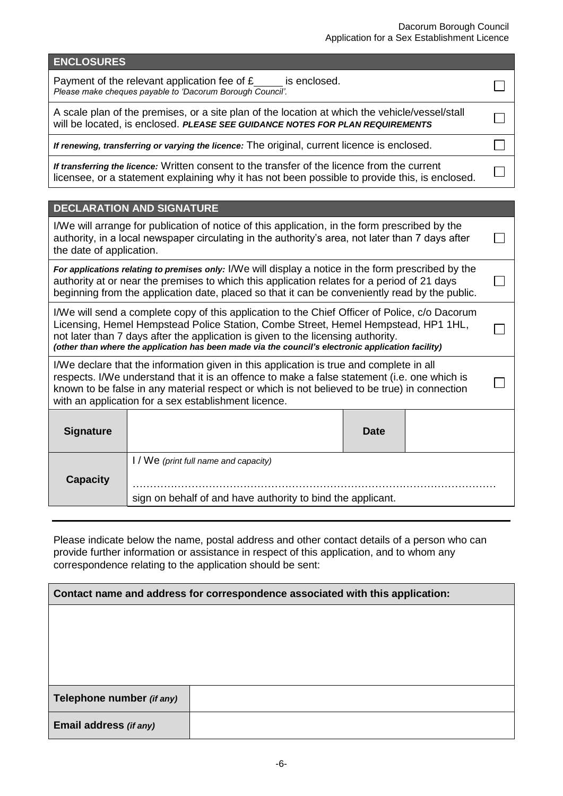| <b>ENCLOSURES</b>                                                                                                                                                                                                                                                                                                                                                              |                                                                                                                                                                                 |             |  |  |
|--------------------------------------------------------------------------------------------------------------------------------------------------------------------------------------------------------------------------------------------------------------------------------------------------------------------------------------------------------------------------------|---------------------------------------------------------------------------------------------------------------------------------------------------------------------------------|-------------|--|--|
| Payment of the relevant application fee of $f_{\text{max}}$ is enclosed.<br>Please make cheques payable to 'Dacorum Borough Council'.                                                                                                                                                                                                                                          |                                                                                                                                                                                 |             |  |  |
|                                                                                                                                                                                                                                                                                                                                                                                | A scale plan of the premises, or a site plan of the location at which the vehicle/vessel/stall<br>will be located, is enclosed. PLEASE SEE GUIDANCE NOTES FOR PLAN REQUIREMENTS |             |  |  |
|                                                                                                                                                                                                                                                                                                                                                                                | If renewing, transferring or varying the licence: The original, current licence is enclosed.                                                                                    |             |  |  |
| If transferring the licence: Written consent to the transfer of the licence from the current<br>licensee, or a statement explaining why it has not been possible to provide this, is enclosed.                                                                                                                                                                                 |                                                                                                                                                                                 |             |  |  |
|                                                                                                                                                                                                                                                                                                                                                                                | <b>DECLARATION AND SIGNATURE</b>                                                                                                                                                |             |  |  |
| I/We will arrange for publication of notice of this application, in the form prescribed by the<br>authority, in a local newspaper circulating in the authority's area, not later than 7 days after<br>the date of application.                                                                                                                                                 |                                                                                                                                                                                 |             |  |  |
| For applications relating to premises only: I/We will display a notice in the form prescribed by the<br>authority at or near the premises to which this application relates for a period of 21 days<br>beginning from the application date, placed so that it can be conveniently read by the public.                                                                          |                                                                                                                                                                                 |             |  |  |
| I/We will send a complete copy of this application to the Chief Officer of Police, c/o Dacorum<br>Licensing, Hemel Hempstead Police Station, Combe Street, Hemel Hempstead, HP1 1HL,<br>not later than 7 days after the application is given to the licensing authority.<br>(other than where the application has been made via the council's electronic application facility) |                                                                                                                                                                                 |             |  |  |
| I/We declare that the information given in this application is true and complete in all<br>respects. I/We understand that it is an offence to make a false statement (i.e. one which is<br>known to be false in any material respect or which is not believed to be true) in connection<br>with an application for a sex establishment licence.                                |                                                                                                                                                                                 |             |  |  |
| <b>Signature</b>                                                                                                                                                                                                                                                                                                                                                               |                                                                                                                                                                                 | <b>Date</b> |  |  |
| I / We (print full name and capacity)<br><b>Capacity</b>                                                                                                                                                                                                                                                                                                                       |                                                                                                                                                                                 |             |  |  |
| sign on behalf of and have authority to bind the applicant.                                                                                                                                                                                                                                                                                                                    |                                                                                                                                                                                 |             |  |  |

Please indicate below the name, postal address and other contact details of a person who can provide further information or assistance in respect of this application, and to whom any correspondence relating to the application should be sent:

| Contact name and address for correspondence associated with this application: |  |  |
|-------------------------------------------------------------------------------|--|--|
|                                                                               |  |  |
|                                                                               |  |  |
|                                                                               |  |  |
|                                                                               |  |  |
|                                                                               |  |  |
| Telephone number (if any)                                                     |  |  |
| Email address (if any)                                                        |  |  |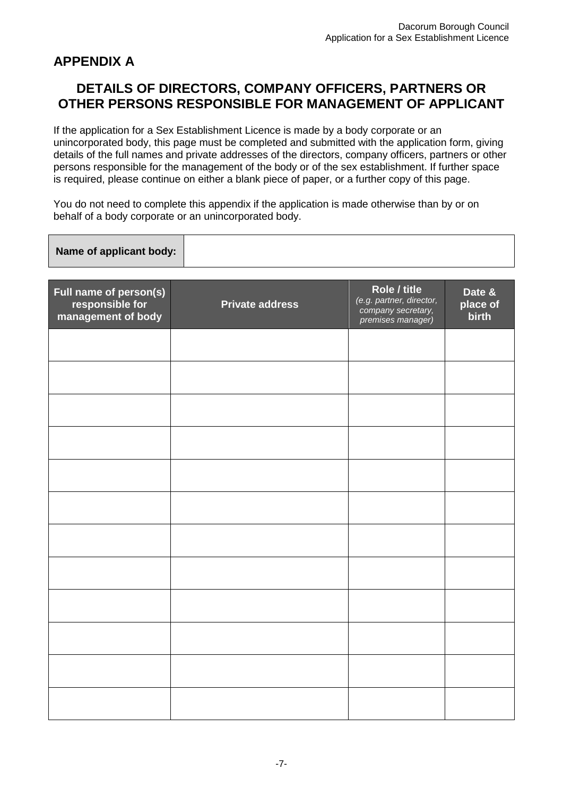## **APPENDIX A**

## **DETAILS OF DIRECTORS, COMPANY OFFICERS, PARTNERS OR OTHER PERSONS RESPONSIBLE FOR MANAGEMENT OF APPLICANT**

If the application for a Sex Establishment Licence is made by a body corporate or an unincorporated body, this page must be completed and submitted with the application form, giving details of the full names and private addresses of the directors, company officers, partners or other persons responsible for the management of the body or of the sex establishment. If further space is required, please continue on either a blank piece of paper, or a further copy of this page.

You do not need to complete this appendix if the application is made otherwise than by or on behalf of a body corporate or an unincorporated body.

| Full name of person(s)<br>responsible for<br>management of body | <b>Private address</b> | Role / title<br>(e.g. partner, director,<br>company secretary,<br>premises manager) | Date &<br>place of<br>birth |
|-----------------------------------------------------------------|------------------------|-------------------------------------------------------------------------------------|-----------------------------|
|                                                                 |                        |                                                                                     |                             |
|                                                                 |                        |                                                                                     |                             |
|                                                                 |                        |                                                                                     |                             |
|                                                                 |                        |                                                                                     |                             |
|                                                                 |                        |                                                                                     |                             |
|                                                                 |                        |                                                                                     |                             |
|                                                                 |                        |                                                                                     |                             |
|                                                                 |                        |                                                                                     |                             |
|                                                                 |                        |                                                                                     |                             |
|                                                                 |                        |                                                                                     |                             |
|                                                                 |                        |                                                                                     |                             |
|                                                                 |                        |                                                                                     |                             |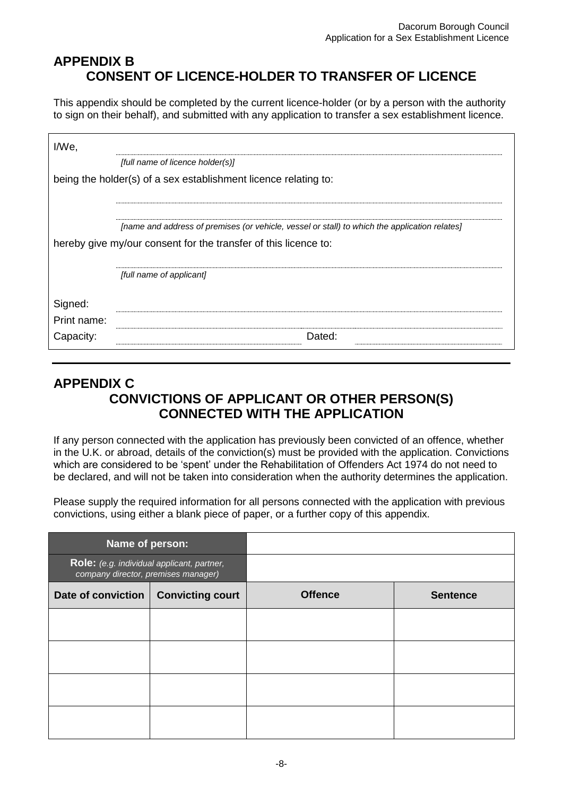## **APPENDIX B CONSENT OF LICENCE-HOLDER TO TRANSFER OF LICENCE**

This appendix should be completed by the current licence-holder (or by a person with the authority to sign on their behalf), and submitted with any application to transfer a sex establishment licence.

| I/We,                                                           |                                                                                               |  |  |  |
|-----------------------------------------------------------------|-----------------------------------------------------------------------------------------------|--|--|--|
|                                                                 | [full name of licence holder(s)]                                                              |  |  |  |
|                                                                 | being the holder(s) of a sex establishment licence relating to:                               |  |  |  |
|                                                                 | [name and address of premises (or vehicle, vessel or stall) to which the application relates] |  |  |  |
| hereby give my/our consent for the transfer of this licence to: |                                                                                               |  |  |  |
|                                                                 | [full name of applicant]                                                                      |  |  |  |
| Signed:                                                         |                                                                                               |  |  |  |
| Print name:                                                     |                                                                                               |  |  |  |
| Capacity:                                                       | Dated:                                                                                        |  |  |  |

## **APPENDIX C CONVICTIONS OF APPLICANT OR OTHER PERSON(S) CONNECTED WITH THE APPLICATION**

If any person connected with the application has previously been convicted of an offence, whether in the U.K. or abroad, details of the conviction(s) must be provided with the application. Convictions which are considered to be 'spent' under the Rehabilitation of Offenders Act 1974 do not need to be declared, and will not be taken into consideration when the authority determines the application.

Please supply the required information for all persons connected with the application with previous convictions, using either a blank piece of paper, or a further copy of this appendix.

| Name of person:                                                                   |  |                |                 |
|-----------------------------------------------------------------------------------|--|----------------|-----------------|
| Role: (e.g. individual applicant, partner,<br>company director, premises manager) |  |                |                 |
| Date of conviction<br><b>Convicting court</b>                                     |  | <b>Offence</b> | <b>Sentence</b> |
|                                                                                   |  |                |                 |
|                                                                                   |  |                |                 |
|                                                                                   |  |                |                 |
|                                                                                   |  |                |                 |
|                                                                                   |  |                |                 |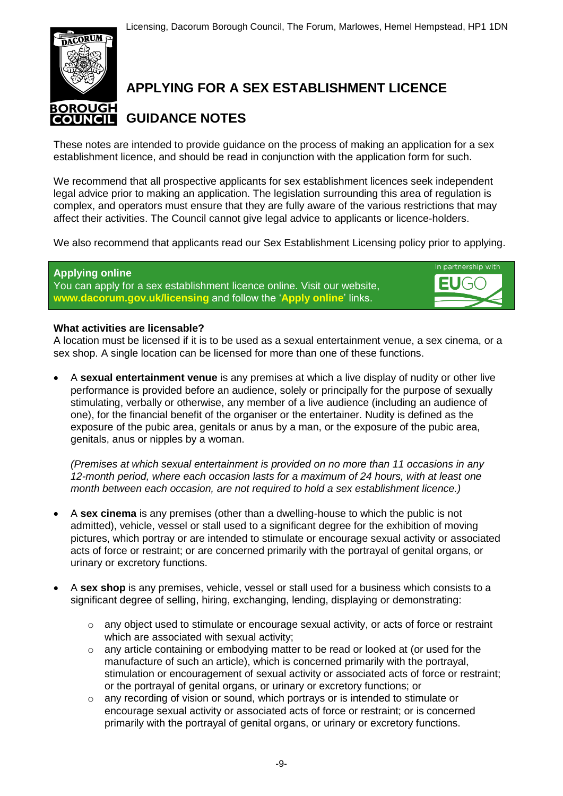

## **APPLYING FOR A SEX ESTABLISHMENT LICENCE**

## **GUIDANCE NOTES**

These notes are intended to provide guidance on the process of making an application for a sex establishment licence, and should be read in conjunction with the application form for such.

We recommend that all prospective applicants for sex establishment licences seek independent legal advice prior to making an application. The legislation surrounding this area of regulation is complex, and operators must ensure that they are fully aware of the various restrictions that may affect their activities. The Council cannot give legal advice to applicants or licence-holders.

We also recommend that applicants read our Sex Establishment Licensing policy prior to applying.

**Applying online** You can apply for a sex establishment licence online. Visit our website, **[www.dacorum.gov.uk/licensing](http://www.dacorum.gov.uk/licensing)** and follow the '**Apply online**' links.



#### **What activities are licensable?**

A location must be licensed if it is to be used as a sexual entertainment venue, a sex cinema, or a sex shop. A single location can be licensed for more than one of these functions.

 A **sexual entertainment venue** is any premises at which a live display of nudity or other live performance is provided before an audience, solely or principally for the purpose of sexually stimulating, verbally or otherwise, any member of a live audience (including an audience of one), for the financial benefit of the organiser or the entertainer. Nudity is defined as the exposure of the pubic area, genitals or anus by a man, or the exposure of the pubic area, genitals, anus or nipples by a woman.

*(Premises at which sexual entertainment is provided on no more than 11 occasions in any 12-month period, where each occasion lasts for a maximum of 24 hours, with at least one month between each occasion, are not required to hold a sex establishment licence.)*

- A **sex cinema** is any premises (other than a dwelling-house to which the public is not admitted), vehicle, vessel or stall used to a significant degree for the exhibition of moving pictures, which portray or are intended to stimulate or encourage sexual activity or associated acts of force or restraint; or are concerned primarily with the portrayal of genital organs, or urinary or excretory functions.
- A **sex shop** is any premises, vehicle, vessel or stall used for a business which consists to a significant degree of selling, hiring, exchanging, lending, displaying or demonstrating:
	- o any object used to stimulate or encourage sexual activity, or acts of force or restraint which are associated with sexual activity;
	- o any article containing or embodying matter to be read or looked at (or used for the manufacture of such an article), which is concerned primarily with the portrayal, stimulation or encouragement of sexual activity or associated acts of force or restraint; or the portrayal of genital organs, or urinary or excretory functions; or
	- o any recording of vision or sound, which portrays or is intended to stimulate or encourage sexual activity or associated acts of force or restraint; or is concerned primarily with the portrayal of genital organs, or urinary or excretory functions.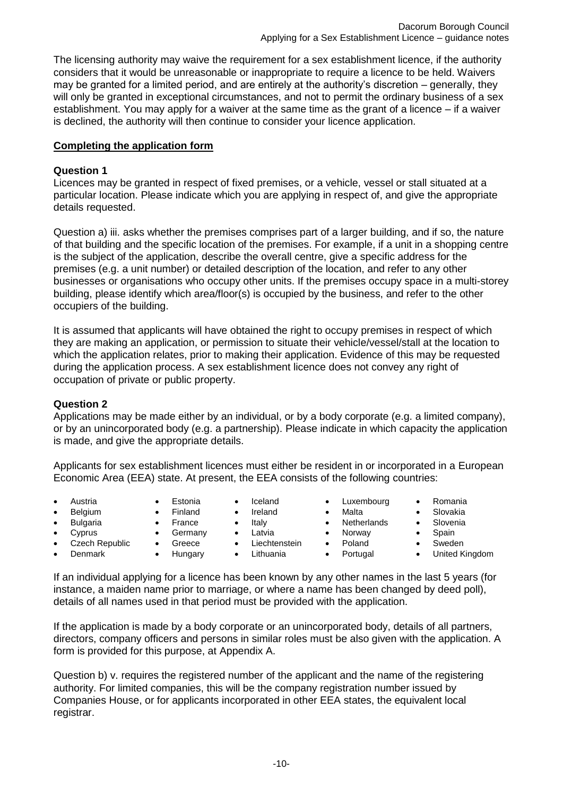The licensing authority may waive the requirement for a sex establishment licence, if the authority considers that it would be unreasonable or inappropriate to require a licence to be held. Waivers may be granted for a limited period, and are entirely at the authority's discretion – generally, they will only be granted in exceptional circumstances, and not to permit the ordinary business of a sex establishment. You may apply for a waiver at the same time as the grant of a licence – if a waiver is declined, the authority will then continue to consider your licence application.

#### **Completing the application form**

#### **Question 1**

Licences may be granted in respect of fixed premises, or a vehicle, vessel or stall situated at a particular location. Please indicate which you are applying in respect of, and give the appropriate details requested.

Question a) iii. asks whether the premises comprises part of a larger building, and if so, the nature of that building and the specific location of the premises. For example, if a unit in a shopping centre is the subject of the application, describe the overall centre, give a specific address for the premises (e.g. a unit number) or detailed description of the location, and refer to any other businesses or organisations who occupy other units. If the premises occupy space in a multi-storey building, please identify which area/floor(s) is occupied by the business, and refer to the other occupiers of the building.

It is assumed that applicants will have obtained the right to occupy premises in respect of which they are making an application, or permission to situate their vehicle/vessel/stall at the location to which the application relates, prior to making their application. Evidence of this may be requested during the application process. A sex establishment licence does not convey any right of occupation of private or public property.

#### **Question 2**

Applications may be made either by an individual, or by a body corporate (e.g. a limited company), or by an unincorporated body (e.g. a partnership). Please indicate in which capacity the application is made, and give the appropriate details.

Applicants for sex establishment licences must either be resident in or incorporated in a European Economic Area (EEA) state. At present, the EEA consists of the following countries:

> • Iceland • Ireland Italy

- Austria Estonia
- Belgium
- Bulgaria
	-
	- Cyprus
		-
	- Czech Republic Denmark
- Greece • Hungary

 Finland France Germany

- Latvia Liechtenstein
- Lithuania
- Luxembourg • Malta
- Netherlands
- Norway
	- Spain
- Poland • Portugal
- Sweden United Kingdom

 Romania Slovakia Slovenia

If an individual applying for a licence has been known by any other names in the last 5 years (for instance, a maiden name prior to marriage, or where a name has been changed by deed poll), details of all names used in that period must be provided with the application.

If the application is made by a body corporate or an unincorporated body, details of all partners, directors, company officers and persons in similar roles must be also given with the application. A form is provided for this purpose, at Appendix A.

Question b) v. requires the registered number of the applicant and the name of the registering authority. For limited companies, this will be the company registration number issued by Companies House, or for applicants incorporated in other EEA states, the equivalent local registrar.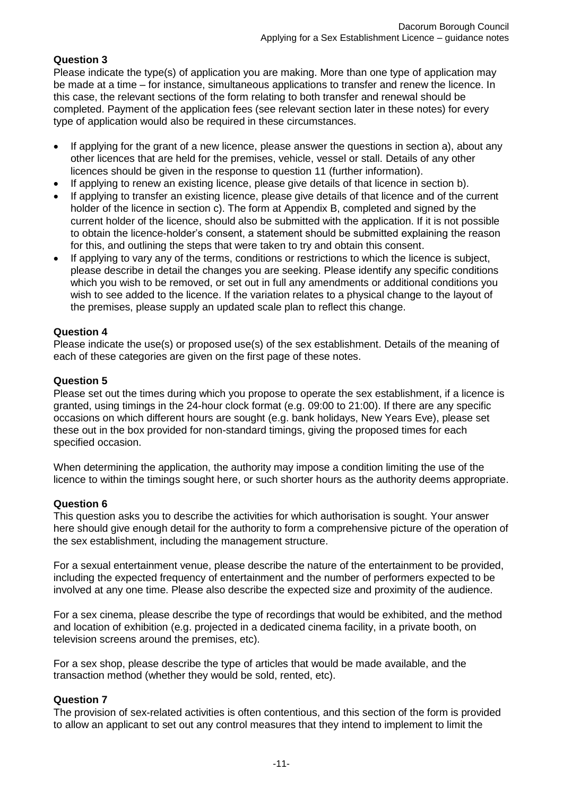#### **Question 3**

Please indicate the type(s) of application you are making. More than one type of application may be made at a time – for instance, simultaneous applications to transfer and renew the licence. In this case, the relevant sections of the form relating to both transfer and renewal should be completed. Payment of the application fees (see relevant section later in these notes) for every type of application would also be required in these circumstances.

- If applying for the grant of a new licence, please answer the questions in section a), about any other licences that are held for the premises, vehicle, vessel or stall. Details of any other licences should be given in the response to question 11 (further information).
- If applying to renew an existing licence, please give details of that licence in section b).
- If applying to transfer an existing licence, please give details of that licence and of the current holder of the licence in section c). The form at Appendix B, completed and signed by the current holder of the licence, should also be submitted with the application. If it is not possible to obtain the licence-holder's consent, a statement should be submitted explaining the reason for this, and outlining the steps that were taken to try and obtain this consent.
- If applying to vary any of the terms, conditions or restrictions to which the licence is subject, please describe in detail the changes you are seeking. Please identify any specific conditions which you wish to be removed, or set out in full any amendments or additional conditions you wish to see added to the licence. If the variation relates to a physical change to the layout of the premises, please supply an updated scale plan to reflect this change.

#### **Question 4**

Please indicate the use(s) or proposed use(s) of the sex establishment. Details of the meaning of each of these categories are given on the first page of these notes.

#### **Question 5**

Please set out the times during which you propose to operate the sex establishment, if a licence is granted, using timings in the 24-hour clock format (e.g. 09:00 to 21:00). If there are any specific occasions on which different hours are sought (e.g. bank holidays, New Years Eve), please set these out in the box provided for non-standard timings, giving the proposed times for each specified occasion.

When determining the application, the authority may impose a condition limiting the use of the licence to within the timings sought here, or such shorter hours as the authority deems appropriate.

#### **Question 6**

This question asks you to describe the activities for which authorisation is sought. Your answer here should give enough detail for the authority to form a comprehensive picture of the operation of the sex establishment, including the management structure.

For a sexual entertainment venue, please describe the nature of the entertainment to be provided, including the expected frequency of entertainment and the number of performers expected to be involved at any one time. Please also describe the expected size and proximity of the audience.

For a sex cinema, please describe the type of recordings that would be exhibited, and the method and location of exhibition (e.g. projected in a dedicated cinema facility, in a private booth, on television screens around the premises, etc).

For a sex shop, please describe the type of articles that would be made available, and the transaction method (whether they would be sold, rented, etc).

#### **Question 7**

The provision of sex-related activities is often contentious, and this section of the form is provided to allow an applicant to set out any control measures that they intend to implement to limit the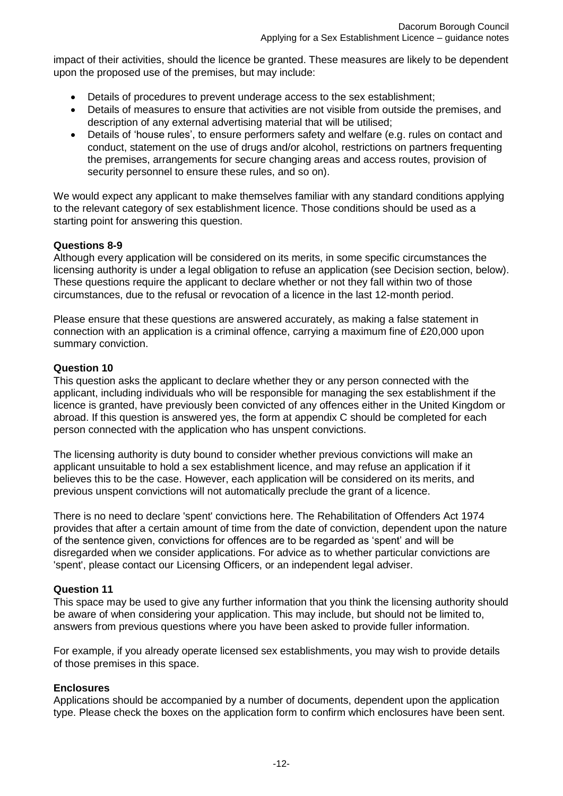impact of their activities, should the licence be granted. These measures are likely to be dependent upon the proposed use of the premises, but may include:

- Details of procedures to prevent underage access to the sex establishment;
- Details of measures to ensure that activities are not visible from outside the premises, and description of any external advertising material that will be utilised;
- Details of 'house rules', to ensure performers safety and welfare (e.g. rules on contact and conduct, statement on the use of drugs and/or alcohol, restrictions on partners frequenting the premises, arrangements for secure changing areas and access routes, provision of security personnel to ensure these rules, and so on).

We would expect any applicant to make themselves familiar with any standard conditions applying to the relevant category of sex establishment licence. Those conditions should be used as a starting point for answering this question.

#### **Questions 8-9**

Although every application will be considered on its merits, in some specific circumstances the licensing authority is under a legal obligation to refuse an application (see Decision section, below). These questions require the applicant to declare whether or not they fall within two of those circumstances, due to the refusal or revocation of a licence in the last 12-month period.

Please ensure that these questions are answered accurately, as making a false statement in connection with an application is a criminal offence, carrying a maximum fine of £20,000 upon summary conviction.

#### **Question 10**

This question asks the applicant to declare whether they or any person connected with the applicant, including individuals who will be responsible for managing the sex establishment if the licence is granted, have previously been convicted of any offences either in the United Kingdom or abroad. If this question is answered yes, the form at appendix C should be completed for each person connected with the application who has unspent convictions.

The licensing authority is duty bound to consider whether previous convictions will make an applicant unsuitable to hold a sex establishment licence, and may refuse an application if it believes this to be the case. However, each application will be considered on its merits, and previous unspent convictions will not automatically preclude the grant of a licence.

There is no need to declare 'spent' convictions here. The Rehabilitation of Offenders Act 1974 provides that after a certain amount of time from the date of conviction, dependent upon the nature of the sentence given, convictions for offences are to be regarded as 'spent' and will be disregarded when we consider applications. For advice as to whether particular convictions are 'spent', please contact our Licensing Officers, or an independent legal adviser.

#### **Question 11**

This space may be used to give any further information that you think the licensing authority should be aware of when considering your application. This may include, but should not be limited to, answers from previous questions where you have been asked to provide fuller information.

For example, if you already operate licensed sex establishments, you may wish to provide details of those premises in this space.

#### **Enclosures**

Applications should be accompanied by a number of documents, dependent upon the application type. Please check the boxes on the application form to confirm which enclosures have been sent.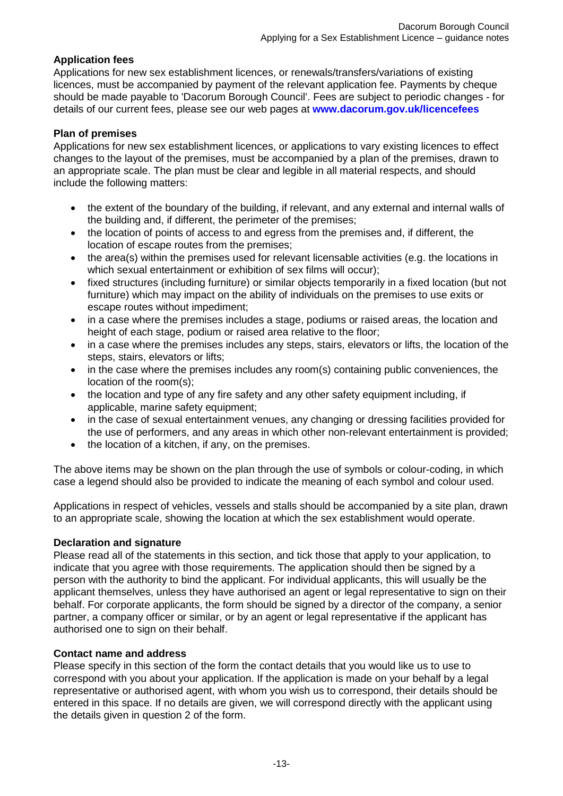#### **Application fees**

Applications for new sex establishment licences, or renewals/transfers/variations of existing licences, must be accompanied by payment of the relevant application fee. Payments by cheque should be made payable to 'Dacorum Borough Council'. Fees are subject to periodic changes - for details of our current fees, please see our web pages at **[www.dacorum.gov.uk/licencefees](http://www.dacorum.gov.uk/licencefees)**

#### **Plan of premises**

Applications for new sex establishment licences, or applications to vary existing licences to effect changes to the layout of the premises, must be accompanied by a plan of the premises, drawn to an appropriate scale. The plan must be clear and legible in all material respects, and should include the following matters:

- the extent of the boundary of the building, if relevant, and any external and internal walls of the building and, if different, the perimeter of the premises;
- the location of points of access to and egress from the premises and, if different, the location of escape routes from the premises;
- the area(s) within the premises used for relevant licensable activities (e.g. the locations in which sexual entertainment or exhibition of sex films will occur);
- fixed structures (including furniture) or similar objects temporarily in a fixed location (but not furniture) which may impact on the ability of individuals on the premises to use exits or escape routes without impediment;
- in a case where the premises includes a stage, podiums or raised areas, the location and height of each stage, podium or raised area relative to the floor;
- in a case where the premises includes any steps, stairs, elevators or lifts, the location of the steps, stairs, elevators or lifts;
- in the case where the premises includes any room(s) containing public conveniences, the location of the room(s);
- the location and type of any fire safety and any other safety equipment including, if applicable, marine safety equipment;
- in the case of sexual entertainment venues, any changing or dressing facilities provided for the use of performers, and any areas in which other non-relevant entertainment is provided;
- $\bullet$  the location of a kitchen, if any, on the premises.

The above items may be shown on the plan through the use of symbols or colour-coding, in which case a legend should also be provided to indicate the meaning of each symbol and colour used.

Applications in respect of vehicles, vessels and stalls should be accompanied by a site plan, drawn to an appropriate scale, showing the location at which the sex establishment would operate.

#### **Declaration and signature**

Please read all of the statements in this section, and tick those that apply to your application, to indicate that you agree with those requirements. The application should then be signed by a person with the authority to bind the applicant. For individual applicants, this will usually be the applicant themselves, unless they have authorised an agent or legal representative to sign on their behalf. For corporate applicants, the form should be signed by a director of the company, a senior partner, a company officer or similar, or by an agent or legal representative if the applicant has authorised one to sign on their behalf.

#### **Contact name and address**

Please specify in this section of the form the contact details that you would like us to use to correspond with you about your application. If the application is made on your behalf by a legal representative or authorised agent, with whom you wish us to correspond, their details should be entered in this space. If no details are given, we will correspond directly with the applicant using the details given in question 2 of the form.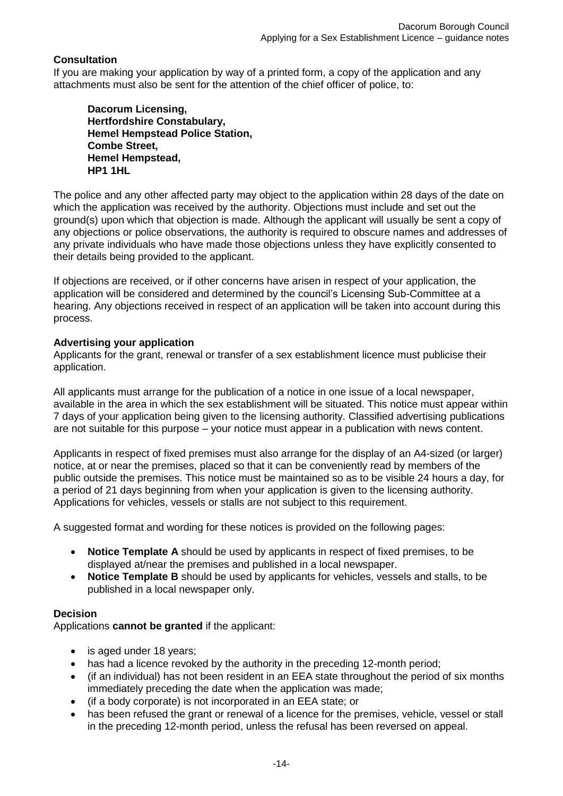#### **Consultation**

If you are making your application by way of a printed form, a copy of the application and any attachments must also be sent for the attention of the chief officer of police, to:

**Dacorum Licensing, Hertfordshire Constabulary, Hemel Hempstead Police Station, Combe Street, Hemel Hempstead, HP1 1HL**

The police and any other affected party may object to the application within 28 days of the date on which the application was received by the authority. Objections must include and set out the ground(s) upon which that objection is made. Although the applicant will usually be sent a copy of any objections or police observations, the authority is required to obscure names and addresses of any private individuals who have made those objections unless they have explicitly consented to their details being provided to the applicant.

If objections are received, or if other concerns have arisen in respect of your application, the application will be considered and determined by the council's Licensing Sub-Committee at a hearing. Any objections received in respect of an application will be taken into account during this process.

#### **Advertising your application**

Applicants for the grant, renewal or transfer of a sex establishment licence must publicise their application.

All applicants must arrange for the publication of a notice in one issue of a local newspaper, available in the area in which the sex establishment will be situated. This notice must appear within 7 days of your application being given to the licensing authority. Classified advertising publications are not suitable for this purpose – your notice must appear in a publication with news content.

Applicants in respect of fixed premises must also arrange for the display of an A4-sized (or larger) notice, at or near the premises, placed so that it can be conveniently read by members of the public outside the premises. This notice must be maintained so as to be visible 24 hours a day, for a period of 21 days beginning from when your application is given to the licensing authority. Applications for vehicles, vessels or stalls are not subject to this requirement.

A suggested format and wording for these notices is provided on the following pages:

- **Notice Template A** should be used by applicants in respect of fixed premises, to be displayed at/near the premises and published in a local newspaper.
- **Notice Template B** should be used by applicants for vehicles, vessels and stalls, to be published in a local newspaper only.

#### **Decision**

Applications **cannot be granted** if the applicant:

- is aged under 18 years;
- has had a licence revoked by the authority in the preceding 12-month period;
- (if an individual) has not been resident in an EEA state throughout the period of six months immediately preceding the date when the application was made;
- (if a body corporate) is not incorporated in an EEA state; or
- has been refused the grant or renewal of a licence for the premises, vehicle, vessel or stall in the preceding 12-month period, unless the refusal has been reversed on appeal.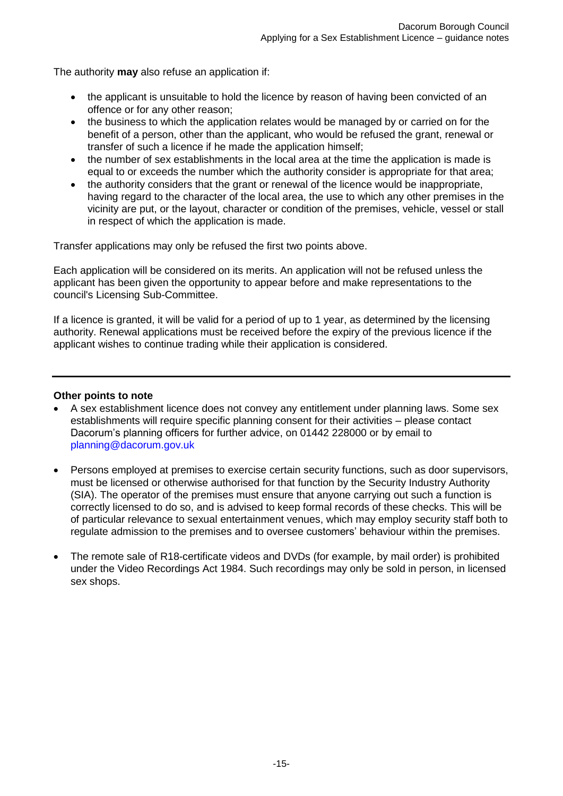The authority **may** also refuse an application if:

- the applicant is unsuitable to hold the licence by reason of having been convicted of an offence or for any other reason;
- the business to which the application relates would be managed by or carried on for the benefit of a person, other than the applicant, who would be refused the grant, renewal or transfer of such a licence if he made the application himself;
- the number of sex establishments in the local area at the time the application is made is equal to or exceeds the number which the authority consider is appropriate for that area;
- the authority considers that the grant or renewal of the licence would be inappropriate, having regard to the character of the local area, the use to which any other premises in the vicinity are put, or the layout, character or condition of the premises, vehicle, vessel or stall in respect of which the application is made.

Transfer applications may only be refused the first two points above.

Each application will be considered on its merits. An application will not be refused unless the applicant has been given the opportunity to appear before and make representations to the council's Licensing Sub-Committee.

If a licence is granted, it will be valid for a period of up to 1 year, as determined by the licensing authority. Renewal applications must be received before the expiry of the previous licence if the applicant wishes to continue trading while their application is considered.

#### **Other points to note**

- A sex establishment licence does not convey any entitlement under planning laws. Some sex establishments will require specific planning consent for their activities – please contact Dacorum's planning officers for further advice, on 01442 228000 or by email to [planning@dacorum.gov.uk](mailto:planning@dacorum.gov.uk)
- Persons employed at premises to exercise certain security functions, such as door supervisors, must be licensed or otherwise authorised for that function by the Security Industry Authority (SIA). The operator of the premises must ensure that anyone carrying out such a function is correctly licensed to do so, and is advised to keep formal records of these checks. This will be of particular relevance to sexual entertainment venues, which may employ security staff both to regulate admission to the premises and to oversee customers' behaviour within the premises.
- The remote sale of R18-certificate videos and DVDs (for example, by mail order) is prohibited under the Video Recordings Act 1984. Such recordings may only be sold in person, in licensed sex shops.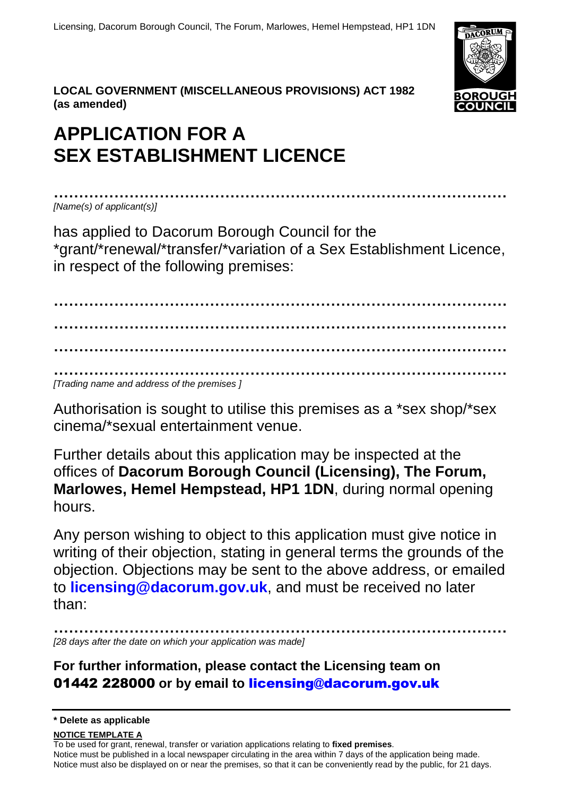

**LOCAL GOVERNMENT (MISCELLANEOUS PROVISIONS) ACT 1982 (as amended)**

# **APPLICATION FOR A SEX ESTABLISHMENT LICENCE**

**………………………………………………………………………………** *[Name(s) of applicant(s)]*

has applied to Dacorum Borough Council for the \*grant/\*renewal/\*transfer/\*variation of a Sex Establishment Licence, in respect of the following premises:

**……………………………………………………………………………… ……………………………………………………………………………… ……………………………………………………………………………… ………………………………………………………………………………** *[Trading name and address of the premises ]*

Authorisation is sought to utilise this premises as a \*sex shop/\*sex cinema/\*sexual entertainment venue.

Further details about this application may be inspected at the offices of **Dacorum Borough Council (Licensing), The Forum, Marlowes, Hemel Hempstead, HP1 1DN**, during normal opening hours.

Any person wishing to object to this application must give notice in writing of their objection, stating in general terms the grounds of the objection. Objections may be sent to the above address, or emailed to **[licensing@dacorum.gov.uk](mailto:licensing@dacorum.gov.uk)**, and must be received no later than:

**………………………………………………………………………………** *[28 days after the date on which your application was made]*

**For further information, please contact the Licensing team on** 01442 228000 **or by email to** [licensing@dacorum.gov.uk](mailto:licensing@dacorum.gov.uk)

**\* Delete as applicable**

**NOTICE TEMPLATE A**

To be used for grant, renewal, transfer or variation applications relating to **fixed premises**.

Notice must be published in a local newspaper circulating in the area within 7 days of the application being made. Notice must also be displayed on or near the premises, so that it can be conveniently read by the public, for 21 days.